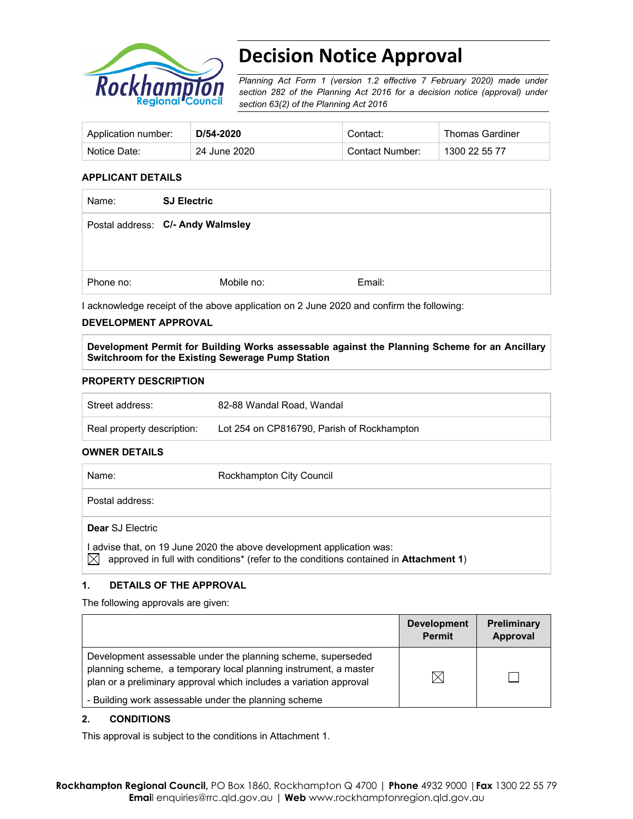

# **Decision Notice Approval**

*Planning Act Form 1 (version 1.2 effective 7 February 2020) made under section 282 of the Planning Act 2016 for a decision notice (approval) under section 63(2) of the Planning Act 2016*

| Application number: | D/54-2020    | Contact:        | <b>Thomas Gardiner</b> |
|---------------------|--------------|-----------------|------------------------|
| Notice Date:        | 24 June 2020 | Contact Number: | 1300 22 55 77          |

#### **APPLICANT DETAILS**

| <b>SJ Electric</b> |                                   |
|--------------------|-----------------------------------|
|                    |                                   |
|                    |                                   |
| Mobile no:         | Email:                            |
|                    | Postal address: C/- Andy Walmsley |

I acknowledge receipt of the above application on 2 June 2020 and confirm the following:

### **DEVELOPMENT APPROVAL**

**Development Permit for Building Works assessable against the Planning Scheme for an Ancillary Switchroom for the Existing Sewerage Pump Station** 

#### **PROPERTY DESCRIPTION**

| Street address:            | 82-88 Wandal Road, Wandal                  |
|----------------------------|--------------------------------------------|
| Real property description: | Lot 254 on CP816790, Parish of Rockhampton |

#### **OWNER DETAILS**

| Name:                   | Rockhampton City Council                                                                                                                                       |
|-------------------------|----------------------------------------------------------------------------------------------------------------------------------------------------------------|
| Postal address:         |                                                                                                                                                                |
| <b>Dear SJ Electric</b> |                                                                                                                                                                |
|                         | l advise that, on 19 June 2020 the above development application was:<br>approved in full with conditions* (refer to the conditions contained in Attachment 1) |

## **1. DETAILS OF THE APPROVAL**

The following approvals are given:

|                                                                                                                                                                                                        | <b>Development</b><br><b>Permit</b> | Preliminary<br>Approval |
|--------------------------------------------------------------------------------------------------------------------------------------------------------------------------------------------------------|-------------------------------------|-------------------------|
| Development assessable under the planning scheme, superseded<br>planning scheme, a temporary local planning instrument, a master<br>plan or a preliminary approval which includes a variation approval | IX                                  |                         |
| - Building work assessable under the planning scheme                                                                                                                                                   |                                     |                         |

### **2. CONDITIONS**

This approval is subject to the conditions in Attachment 1.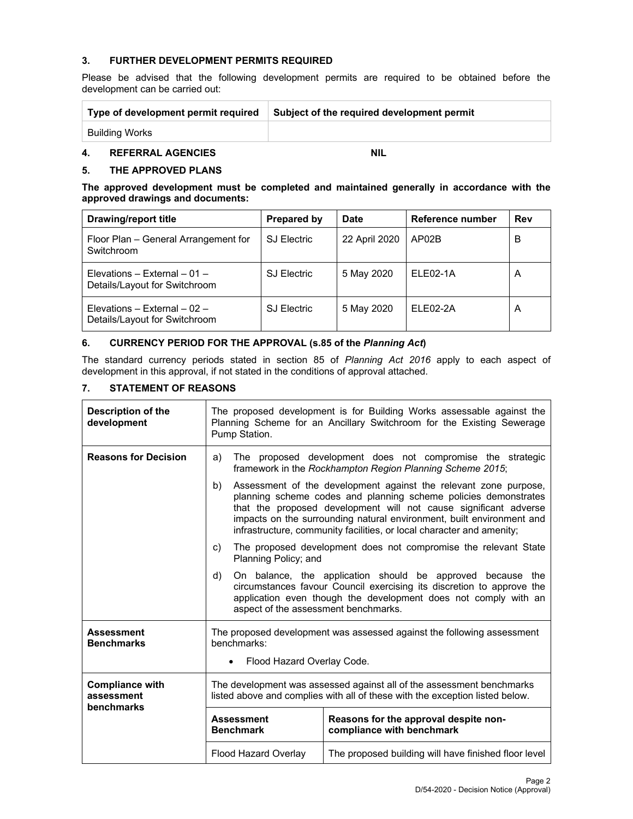### **3. FURTHER DEVELOPMENT PERMITS REQUIRED**

Please be advised that the following development permits are required to be obtained before the development can be carried out:

| Type of development permit required | Subject of the required development permit |
|-------------------------------------|--------------------------------------------|
| Building Works                      |                                            |

## **4. REFERRAL AGENCIES NIL**

### **5. THE APPROVED PLANS**

**The approved development must be completed and maintained generally in accordance with the approved drawings and documents:** 

| <b>Drawing/report title</b>                                   | <b>Prepared by</b> | Date          | Reference number | Rev |
|---------------------------------------------------------------|--------------------|---------------|------------------|-----|
| Floor Plan – General Arrangement for<br>Switchroom            | <b>SJ Electric</b> | 22 April 2020 | AP02B            | В   |
| Elevations – External – 01 –<br>Details/Layout for Switchroom | <b>SJ Electric</b> | 5 May 2020    | ELE02-1A         | A   |
| Elevations – External – 02 –<br>Details/Layout for Switchroom | <b>SJ Electric</b> | 5 May 2020    | ELE02-2A         | A   |

#### **6. CURRENCY PERIOD FOR THE APPROVAL (s.85 of the** *Planning Act***)**

The standard currency periods stated in section 85 of *Planning Act 2016* apply to each aspect of development in this approval, if not stated in the conditions of approval attached.

## **7. STATEMENT OF REASONS**

| <b>Description of the</b><br>development           | The proposed development is for Building Works assessable against the<br>Planning Scheme for an Ancillary Switchroom for the Existing Sewerage<br>Pump Station.                                                                                                                                                                                                 |                                                                    |  |  |
|----------------------------------------------------|-----------------------------------------------------------------------------------------------------------------------------------------------------------------------------------------------------------------------------------------------------------------------------------------------------------------------------------------------------------------|--------------------------------------------------------------------|--|--|
| <b>Reasons for Decision</b>                        | The proposed development does not compromise the strategic<br>a)<br>framework in the Rockhampton Region Planning Scheme 2015;                                                                                                                                                                                                                                   |                                                                    |  |  |
|                                                    | Assessment of the development against the relevant zone purpose,<br>b)<br>planning scheme codes and planning scheme policies demonstrates<br>that the proposed development will not cause significant adverse<br>impacts on the surrounding natural environment, built environment and<br>infrastructure, community facilities, or local character and amenity; |                                                                    |  |  |
|                                                    | The proposed development does not compromise the relevant State<br>C)<br>Planning Policy; and                                                                                                                                                                                                                                                                   |                                                                    |  |  |
|                                                    | On balance, the application should be approved because the<br>d)<br>circumstances favour Council exercising its discretion to approve the<br>application even though the development does not comply with an<br>aspect of the assessment benchmarks.                                                                                                            |                                                                    |  |  |
| <b>Assessment</b><br><b>Benchmarks</b>             | The proposed development was assessed against the following assessment<br>benchmarks:<br>Flood Hazard Overlay Code.<br>$\bullet$                                                                                                                                                                                                                                |                                                                    |  |  |
| <b>Compliance with</b><br>assessment<br>benchmarks | The development was assessed against all of the assessment benchmarks<br>listed above and complies with all of these with the exception listed below.                                                                                                                                                                                                           |                                                                    |  |  |
|                                                    | <b>Assessment</b><br><b>Benchmark</b>                                                                                                                                                                                                                                                                                                                           | Reasons for the approval despite non-<br>compliance with benchmark |  |  |
|                                                    | <b>Flood Hazard Overlay</b>                                                                                                                                                                                                                                                                                                                                     | The proposed building will have finished floor level               |  |  |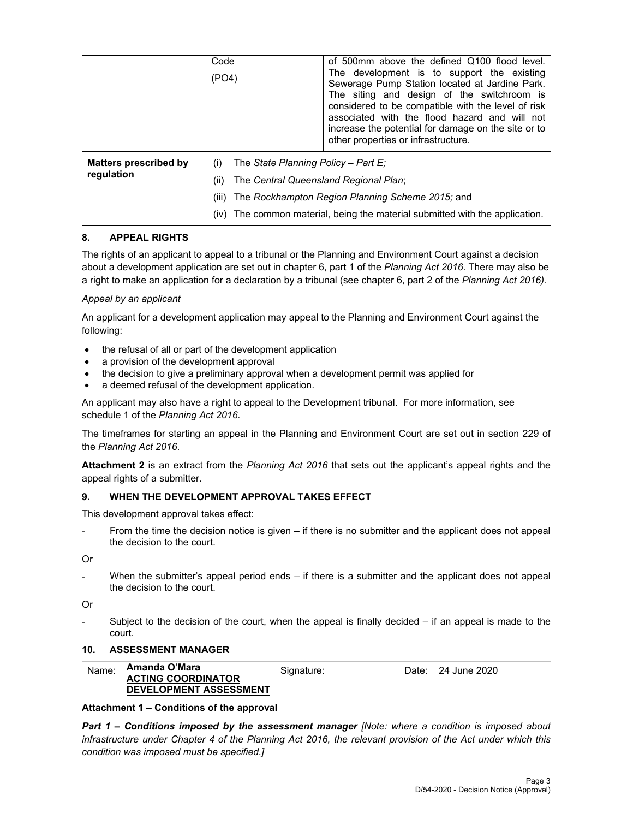|                                     | Code<br>(PO4)                | of 500mm above the defined Q100 flood level.<br>The development is to support the existing<br>Sewerage Pump Station located at Jardine Park.<br>The siting and design of the switchroom is<br>considered to be compatible with the level of risk<br>associated with the flood hazard and will not<br>increase the potential for damage on the site or to<br>other properties or infrastructure. |  |
|-------------------------------------|------------------------------|-------------------------------------------------------------------------------------------------------------------------------------------------------------------------------------------------------------------------------------------------------------------------------------------------------------------------------------------------------------------------------------------------|--|
| Matters prescribed by<br>regulation | (i)<br>(ii)<br>(iii)<br>(iv) | The State Planning Policy - Part E:<br>The Central Queensland Regional Plan;<br>The Rockhampton Region Planning Scheme 2015; and<br>The common material, being the material submitted with the application.                                                                                                                                                                                     |  |

## **8. APPEAL RIGHTS**

The rights of an applicant to appeal to a tribunal or the Planning and Environment Court against a decision about a development application are set out in chapter 6, part 1 of the *Planning Act 2016*. There may also be a right to make an application for a declaration by a tribunal (see chapter 6, part 2 of the *Planning Act 2016).*

## *Appeal by an applicant*

An applicant for a development application may appeal to the Planning and Environment Court against the following:

- the refusal of all or part of the development application
- a provision of the development approval
- the decision to give a preliminary approval when a development permit was applied for
- a deemed refusal of the development application.

An applicant may also have a right to appeal to the Development tribunal. For more information, see schedule 1 of the *Planning Act 2016*.

The timeframes for starting an appeal in the Planning and Environment Court are set out in section 229 of the *Planning Act 2016*.

**Attachment 2** is an extract from the *Planning Act 2016* that sets out the applicant's appeal rights and the appeal rights of a submitter.

### **9. WHEN THE DEVELOPMENT APPROVAL TAKES EFFECT**

This development approval takes effect:

From the time the decision notice is given – if there is no submitter and the applicant does not appeal the decision to the court.

Or

When the submitter's appeal period ends – if there is a submitter and the applicant does not appeal the decision to the court.

Or

Subject to the decision of the court, when the appeal is finally decided  $-$  if an appeal is made to the court.

### **10. ASSESSMENT MANAGER**

| Name: | Amanda O'Mara                 | Signature: | Date: | 24 June 2020 |
|-------|-------------------------------|------------|-------|--------------|
|       | <b>ACTING COORDINATOR</b>     |            |       |              |
|       | <b>DEVELOPMENT ASSESSMENT</b> |            |       |              |

### **Attachment 1 – Conditions of the approval**

*Part 1* **–** *Conditions imposed by the assessment manager [Note: where a condition is imposed about infrastructure under Chapter 4 of the Planning Act 2016, the relevant provision of the Act under which this condition was imposed must be specified.]*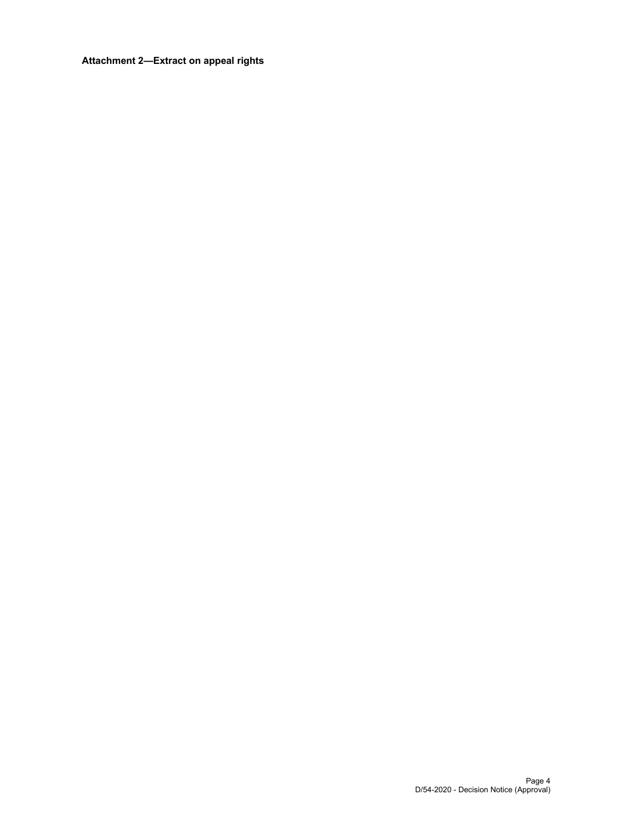## **Attachment 2—Extract on appeal rights**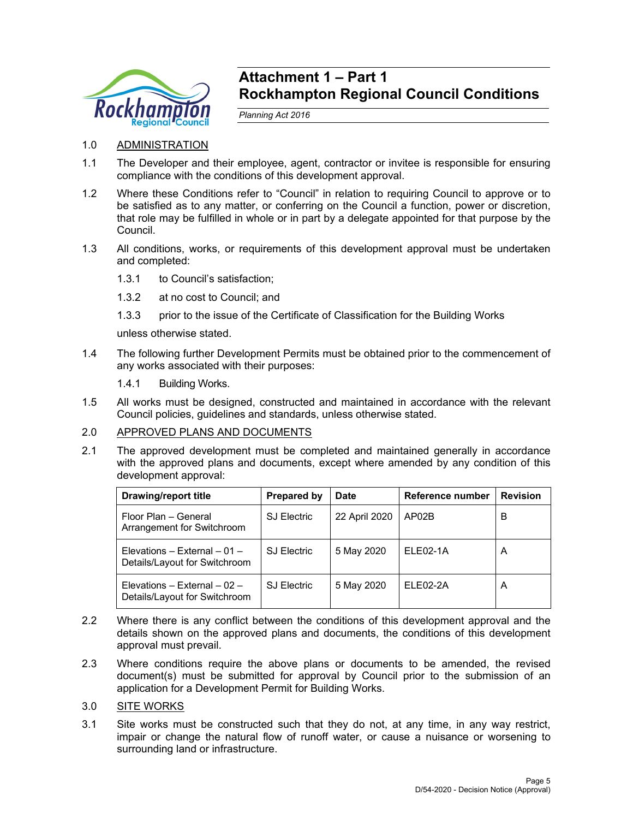

## **Attachment 1 – Part 1 Rockhampton Regional Council Conditions**

*Planning Act 2016* 

- 1.0 ADMINISTRATION
- 1.1 The Developer and their employee, agent, contractor or invitee is responsible for ensuring compliance with the conditions of this development approval.
- 1.2 Where these Conditions refer to "Council" in relation to requiring Council to approve or to be satisfied as to any matter, or conferring on the Council a function, power or discretion, that role may be fulfilled in whole or in part by a delegate appointed for that purpose by the Council.
- 1.3 All conditions, works, or requirements of this development approval must be undertaken and completed:
	- 1.3.1 to Council's satisfaction;
	- 1.3.2 at no cost to Council; and
	- 1.3.3 prior to the issue of the Certificate of Classification for the Building Works

unless otherwise stated.

- 1.4 The following further Development Permits must be obtained prior to the commencement of any works associated with their purposes:
	- 1.4.1 Building Works.
- 1.5 All works must be designed, constructed and maintained in accordance with the relevant Council policies, guidelines and standards, unless otherwise stated.

## 2.0 APPROVED PLANS AND DOCUMENTS

2.1 The approved development must be completed and maintained generally in accordance with the approved plans and documents, except where amended by any condition of this development approval:

| <b>Drawing/report title</b>                                     | Prepared by        | <b>Date</b>   | Reference number | <b>Revision</b> |
|-----------------------------------------------------------------|--------------------|---------------|------------------|-----------------|
| Floor Plan - General<br>Arrangement for Switchroom              | <b>SJ Electric</b> | 22 April 2020 | AP02B            | в               |
| Elevations – External – 01 –<br>Details/Layout for Switchroom   | <b>SJ Electric</b> | 5 May 2020    | ELE02-1A         | A               |
| Elevations - External - $02$ -<br>Details/Layout for Switchroom | <b>SJ Electric</b> | 5 May 2020    | ELE02-2A         | A               |

- 2.2 Where there is any conflict between the conditions of this development approval and the details shown on the approved plans and documents, the conditions of this development approval must prevail.
- 2.3 Where conditions require the above plans or documents to be amended, the revised document(s) must be submitted for approval by Council prior to the submission of an application for a Development Permit for Building Works.
- 3.0 SITE WORKS
- 3.1 Site works must be constructed such that they do not, at any time, in any way restrict, impair or change the natural flow of runoff water, or cause a nuisance or worsening to surrounding land or infrastructure.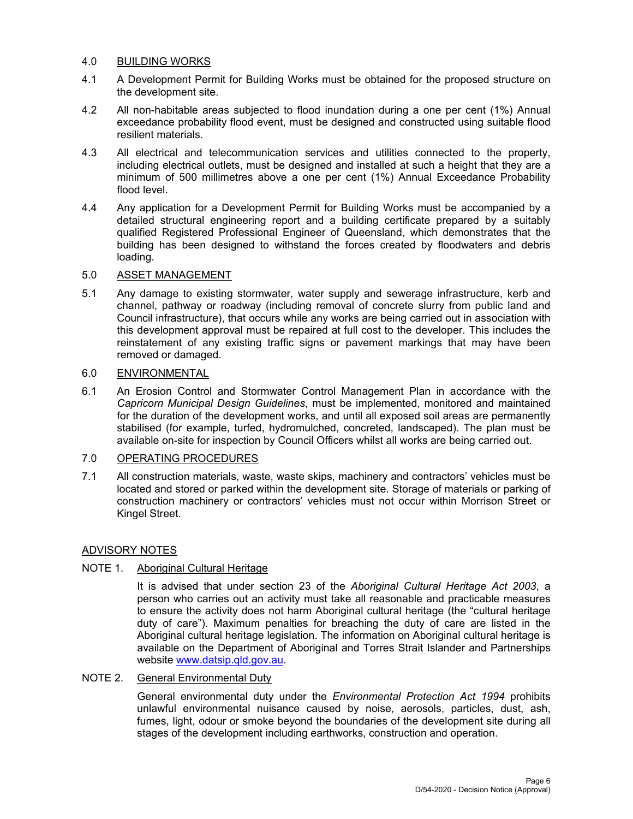## 4.0 BUILDING WORKS

- 4.1 A Development Permit for Building Works must be obtained for the proposed structure on the development site.
- 4.2 All non-habitable areas subjected to flood inundation during a one per cent (1%) Annual exceedance probability flood event, must be designed and constructed using suitable flood resilient materials.
- 4.3 All electrical and telecommunication services and utilities connected to the property, including electrical outlets, must be designed and installed at such a height that they are a minimum of 500 millimetres above a one per cent (1%) Annual Exceedance Probability flood level.
- 4.4 Any application for a Development Permit for Building Works must be accompanied by a detailed structural engineering report and a building certificate prepared by a suitably qualified Registered Professional Engineer of Queensland, which demonstrates that the building has been designed to withstand the forces created by floodwaters and debris loading.

## 5.0 ASSET MANAGEMENT

5.1 Any damage to existing stormwater, water supply and sewerage infrastructure, kerb and channel, pathway or roadway (including removal of concrete slurry from public land and Council infrastructure), that occurs while any works are being carried out in association with this development approval must be repaired at full cost to the developer. This includes the reinstatement of any existing traffic signs or pavement markings that may have been removed or damaged.

## 6.0 ENVIRONMENTAL

6.1 An Erosion Control and Stormwater Control Management Plan in accordance with the *Capricorn Municipal Design Guidelines*, must be implemented, monitored and maintained for the duration of the development works, and until all exposed soil areas are permanently stabilised (for example, turfed, hydromulched, concreted, landscaped). The plan must be available on-site for inspection by Council Officers whilst all works are being carried out.

## 7.0 OPERATING PROCEDURES

7.1 All construction materials, waste, waste skips, machinery and contractors' vehicles must be located and stored or parked within the development site. Storage of materials or parking of construction machinery or contractors' vehicles must not occur within Morrison Street or Kingel Street.

## ADVISORY NOTES

## NOTE 1. Aboriginal Cultural Heritage

It is advised that under section 23 of the *Aboriginal Cultural Heritage Act 2003*, a person who carries out an activity must take all reasonable and practicable measures to ensure the activity does not harm Aboriginal cultural heritage (the "cultural heritage duty of care"). Maximum penalties for breaching the duty of care are listed in the Aboriginal cultural heritage legislation. The information on Aboriginal cultural heritage is available on the Department of Aboriginal and Torres Strait Islander and Partnerships website www.datsip.qld.gov.au.

## NOTE 2. General Environmental Duty

General environmental duty under the *Environmental Protection Act 1994* prohibits unlawful environmental nuisance caused by noise, aerosols, particles, dust, ash, fumes, light, odour or smoke beyond the boundaries of the development site during all stages of the development including earthworks, construction and operation.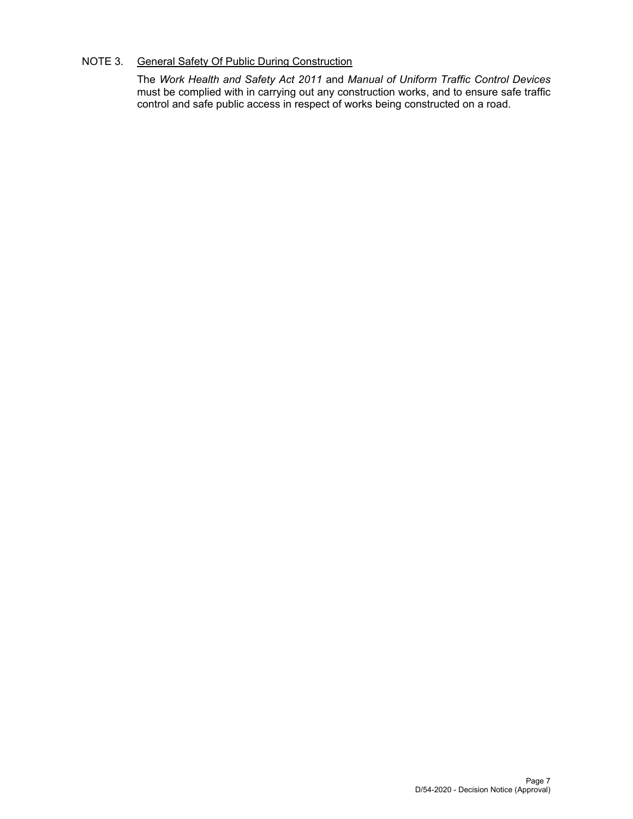## NOTE 3. General Safety Of Public During Construction

The *Work Health and Safety Act 2011* and *Manual of Uniform Traffic Control Devices* must be complied with in carrying out any construction works, and to ensure safe traffic control and safe public access in respect of works being constructed on a road.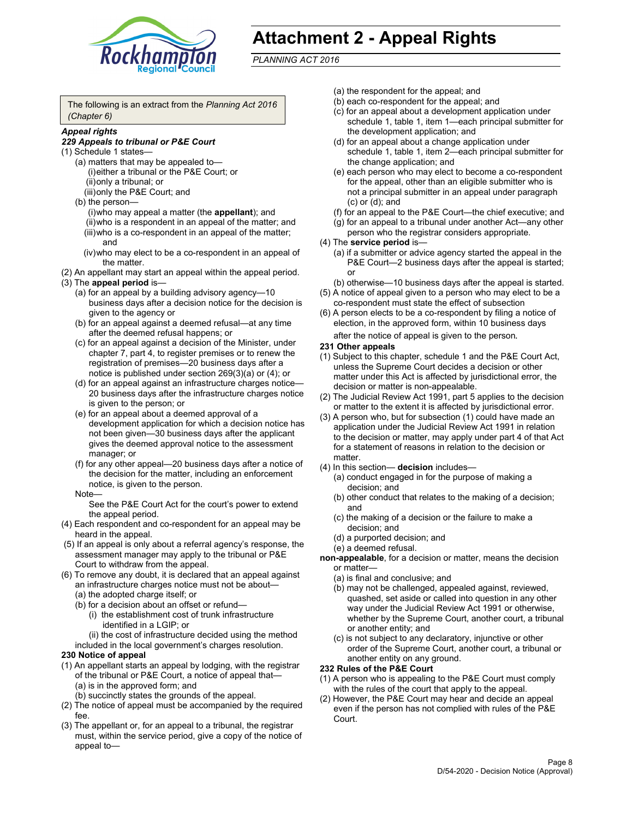

# **Attachment 2 - Appeal Rights**

*PLANNING ACT 2016*

The following is an extract from the *Planning Act 2016 (Chapter 6)*

## *Appeal rights*

#### *229 Appeals to tribunal or P&E Court*

- (1) Schedule 1 states—
	- (a) matters that may be appealed to— (i) either a tribunal or the P&E Court; or (ii) only a tribunal; or (iii) only the P&E Court; and
	- (b) the person—
		- (i) who may appeal a matter (the **appellant**); and
		- (ii) who is a respondent in an appeal of the matter; and (iii) who is a co-respondent in an appeal of the matter; and
		- (iv) who may elect to be a co-respondent in an appeal of the matter.
- (2) An appellant may start an appeal within the appeal period.
- (3) The **appeal period** is—
	- (a) for an appeal by a building advisory agency—10 business days after a decision notice for the decision is given to the agency or
	- (b) for an appeal against a deemed refusal—at any time after the deemed refusal happens; or
	- (c) for an appeal against a decision of the Minister, under chapter 7, part 4, to register premises or to renew the registration of premises—20 business days after a notice is published under section 269(3)(a) or (4); or
	- (d) for an appeal against an infrastructure charges notice— 20 business days after the infrastructure charges notice is given to the person; or
	- (e) for an appeal about a deemed approval of a development application for which a decision notice has not been given—30 business days after the applicant gives the deemed approval notice to the assessment manager; or
	- (f) for any other appeal—20 business days after a notice of the decision for the matter, including an enforcement notice, is given to the person.

#### Note—

See the P&E Court Act for the court's power to extend the appeal period.

- (4) Each respondent and co-respondent for an appeal may be heard in the appeal.
- (5) If an appeal is only about a referral agency's response, the assessment manager may apply to the tribunal or P&E Court to withdraw from the appeal.
- (6) To remove any doubt, it is declared that an appeal against an infrastructure charges notice must not be about— (a) the adopted charge itself; or
	- (b) for a decision about an offset or refund—
		- (i) the establishment cost of trunk infrastructure identified in a LGIP; or
		- (ii) the cost of infrastructure decided using the method
	- included in the local government's charges resolution.

#### **230 Notice of appeal**

- (1) An appellant starts an appeal by lodging, with the registrar of the tribunal or P&E Court, a notice of appeal that— (a) is in the approved form; and
	- (b) succinctly states the grounds of the appeal.
- (2) The notice of appeal must be accompanied by the required fee.
- (3) The appellant or, for an appeal to a tribunal, the registrar must, within the service period, give a copy of the notice of appeal to—
- (a) the respondent for the appeal; and
- (b) each co-respondent for the appeal; and
- (c) for an appeal about a development application under schedule 1, table 1, item 1—each principal submitter for the development application; and
- (d) for an appeal about a change application under schedule 1, table 1, item 2—each principal submitter for the change application; and
- (e) each person who may elect to become a co-respondent for the appeal, other than an eligible submitter who is not a principal submitter in an appeal under paragraph (c) or (d); and
- (f) for an appeal to the P&E Court—the chief executive; and
- (g) for an appeal to a tribunal under another Act—any other person who the registrar considers appropriate.
- (4) The **service period** is—
	- (a) if a submitter or advice agency started the appeal in the P&E Court-2 business days after the appeal is started; or
	- (b) otherwise—10 business days after the appeal is started.
- (5) A notice of appeal given to a person who may elect to be a co-respondent must state the effect of subsection
- (6) A person elects to be a co-respondent by filing a notice of election, in the approved form, within 10 business days
	- after the notice of appeal is given to the person*.*
- **231 Other appeals**
- (1) Subject to this chapter, schedule 1 and the P&E Court Act, unless the Supreme Court decides a decision or other matter under this Act is affected by jurisdictional error, the decision or matter is non-appealable.
- (2) The Judicial Review Act 1991, part 5 applies to the decision or matter to the extent it is affected by jurisdictional error.
- (3) A person who, but for subsection (1) could have made an application under the Judicial Review Act 1991 in relation to the decision or matter, may apply under part 4 of that Act for a statement of reasons in relation to the decision or matter.
- (4) In this section— **decision** includes—
	- (a) conduct engaged in for the purpose of making a decision; and
	- (b) other conduct that relates to the making of a decision; and
	- (c) the making of a decision or the failure to make a decision; and
	- (d) a purported decision; and
	- (e) a deemed refusal.

**non-appealable**, for a decision or matter, means the decision or matter—

- (a) is final and conclusive; and
- (b) may not be challenged, appealed against, reviewed, quashed, set aside or called into question in any other way under the Judicial Review Act 1991 or otherwise, whether by the Supreme Court, another court, a tribunal or another entity; and
- (c) is not subject to any declaratory, injunctive or other order of the Supreme Court, another court, a tribunal or another entity on any ground.

#### **232 Rules of the P&E Court**

- (1) A person who is appealing to the P&E Court must comply with the rules of the court that apply to the appeal.
- (2) However, the P&E Court may hear and decide an appeal even if the person has not complied with rules of the P&E Court.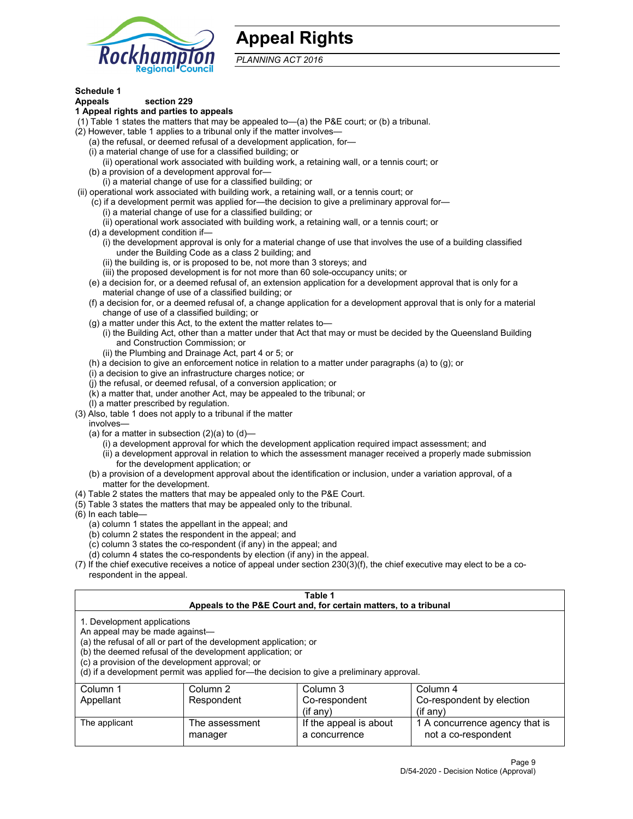

## **Appeal Rights**

*PLANNING ACT 2016*

## **Schedule 1**

## **Appeals section 229**

- **1 Appeal rights and parties to appeals**
- (1) Table 1 states the matters that may be appealed to—(a) the P&E court; or (b) a tribunal.
- (2) However, table 1 applies to a tribunal only if the matter involves—
	- (a) the refusal, or deemed refusal of a development application, for—
	- (i) a material change of use for a classified building; or
	- (ii) operational work associated with building work, a retaining wall, or a tennis court; or
	- (b) a provision of a development approval for—
	- (i) a material change of use for a classified building; or
- (ii) operational work associated with building work, a retaining wall, or a tennis court; or
	- (c) if a development permit was applied for—the decision to give a preliminary approval for—
		- (i) a material change of use for a classified building; or
	- (ii) operational work associated with building work, a retaining wall, or a tennis court; or
	- (d) a development condition if—
		- (i) the development approval is only for a material change of use that involves the use of a building classified under the Building Code as a class 2 building; and
		- (ii) the building is, or is proposed to be, not more than 3 storeys; and
		- (iii) the proposed development is for not more than 60 sole-occupancy units; or
	- (e) a decision for, or a deemed refusal of, an extension application for a development approval that is only for a material change of use of a classified building; or
	- (f) a decision for, or a deemed refusal of, a change application for a development approval that is only for a material change of use of a classified building; or
	- (g) a matter under this Act, to the extent the matter relates to—
		- (i) the Building Act, other than a matter under that Act that may or must be decided by the Queensland Building and Construction Commission; or
		- (ii) the Plumbing and Drainage Act, part 4 or 5; or
	- (h) a decision to give an enforcement notice in relation to a matter under paragraphs (a) to (g); or
	- (i) a decision to give an infrastructure charges notice; or
	- (j) the refusal, or deemed refusal, of a conversion application; or
	- (k) a matter that, under another Act, may be appealed to the tribunal; or
	- (l) a matter prescribed by regulation.
- (3) Also, table 1 does not apply to a tribunal if the matter
	- involves—
		- (a) for a matter in subsection  $(2)(a)$  to  $(d)$ 
			- (i) a development approval for which the development application required impact assessment; and
			- (ii) a development approval in relation to which the assessment manager received a properly made submission for the development application; or
	- (b) a provision of a development approval about the identification or inclusion, under a variation approval, of a matter for the development.
- (4) Table 2 states the matters that may be appealed only to the P&E Court.
- (5) Table 3 states the matters that may be appealed only to the tribunal.
- (6) In each table—
	- (a) column 1 states the appellant in the appeal; and
	- (b) column 2 states the respondent in the appeal; and
	- (c) column 3 states the co-respondent (if any) in the appeal; and
	- (d) column 4 states the co-respondents by election (if any) in the appeal.
- (7) If the chief executive receives a notice of appeal under section 230(3)(f), the chief executive may elect to be a corespondent in the appeal.

| Table 1<br>Appeals to the P&E Court and, for certain matters, to a tribunal                                      |                                                                                                                                |                                                                                          |                                                       |  |  |
|------------------------------------------------------------------------------------------------------------------|--------------------------------------------------------------------------------------------------------------------------------|------------------------------------------------------------------------------------------|-------------------------------------------------------|--|--|
| 1. Development applications<br>An appeal may be made against-<br>(c) a provision of the development approval; or | (a) the refusal of all or part of the development application; or<br>(b) the deemed refusal of the development application; or | (d) if a development permit was applied for-the decision to give a preliminary approval. |                                                       |  |  |
| Column 1                                                                                                         | Column 2                                                                                                                       | Column 3                                                                                 | Column 4                                              |  |  |
| Co-respondent<br>Respondent<br>Co-respondent by election<br>Appellant<br>$(if$ any)<br>$(if$ any)                |                                                                                                                                |                                                                                          |                                                       |  |  |
| The applicant                                                                                                    | The assessment<br>manager                                                                                                      | If the appeal is about<br>a concurrence                                                  | 1 A concurrence agency that is<br>not a co-respondent |  |  |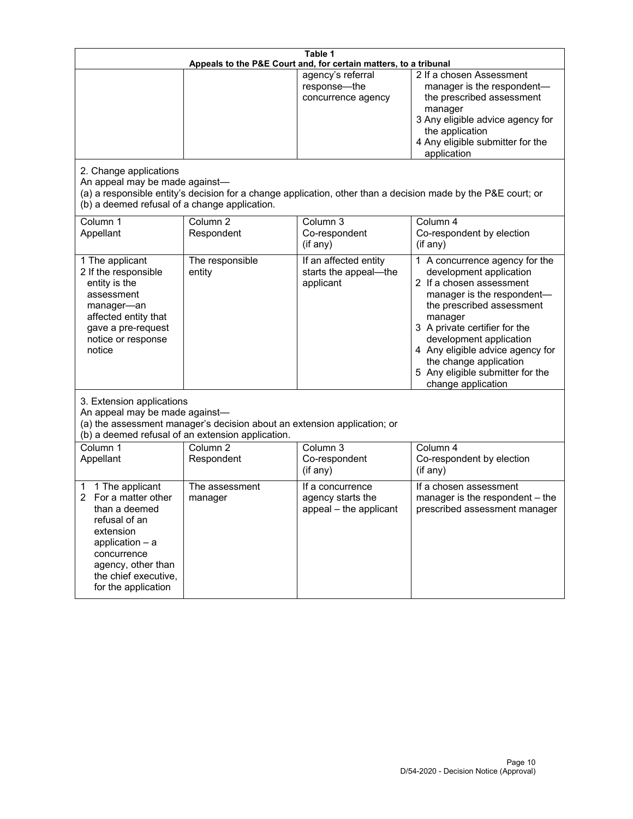| Table 1<br>Appeals to the P&E Court and, for certain matters, to a tribunal                                                                                                                             |                                   |                                                                 |                                                                                                                                                                                                                                                                                                                                                 |  |
|---------------------------------------------------------------------------------------------------------------------------------------------------------------------------------------------------------|-----------------------------------|-----------------------------------------------------------------|-------------------------------------------------------------------------------------------------------------------------------------------------------------------------------------------------------------------------------------------------------------------------------------------------------------------------------------------------|--|
| 2. Change applications<br>An appeal may be made against-<br>(b) a deemed refusal of a change application.                                                                                               |                                   | agency's referral<br>response-the<br>concurrence agency         | 2 If a chosen Assessment<br>manager is the respondent-<br>the prescribed assessment<br>manager<br>3 Any eligible advice agency for<br>the application<br>4 Any eligible submitter for the<br>application<br>(a) a responsible entity's decision for a change application, other than a decision made by the P&E court; or                       |  |
| Column 1<br>Appellant                                                                                                                                                                                   | Column <sub>2</sub><br>Respondent | Column 3<br>Co-respondent<br>(if any)                           | Column 4<br>Co-respondent by election<br>(i f any)                                                                                                                                                                                                                                                                                              |  |
| 1 The applicant<br>2 If the responsible<br>entity is the<br>assessment<br>manager-an<br>affected entity that<br>gave a pre-request<br>notice or response<br>notice                                      | The responsible<br>entity         | If an affected entity<br>starts the appeal-the<br>applicant     | 1 A concurrence agency for the<br>development application<br>2 If a chosen assessment<br>manager is the respondent-<br>the prescribed assessment<br>manager<br>3 A private certifier for the<br>development application<br>4 Any eligible advice agency for<br>the change application<br>5 Any eligible submitter for the<br>change application |  |
| 3. Extension applications<br>An appeal may be made against-<br>(a) the assessment manager's decision about an extension application; or<br>(b) a deemed refusal of an extension application.            |                                   |                                                                 |                                                                                                                                                                                                                                                                                                                                                 |  |
| Column 1<br>Appellant                                                                                                                                                                                   | Column <sub>2</sub><br>Respondent | Column 3<br>Co-respondent<br>(if any)                           | Column 4<br>Co-respondent by election<br>(if any)                                                                                                                                                                                                                                                                                               |  |
| 1 The applicant<br>1<br>For a matter other<br>2<br>than a deemed<br>refusal of an<br>extension<br>application $-$ a<br>concurrence<br>agency, other than<br>the chief executive,<br>for the application | The assessment<br>manager         | If a concurrence<br>agency starts the<br>appeal - the applicant | If a chosen assessment<br>manager is the respondent - the<br>prescribed assessment manager                                                                                                                                                                                                                                                      |  |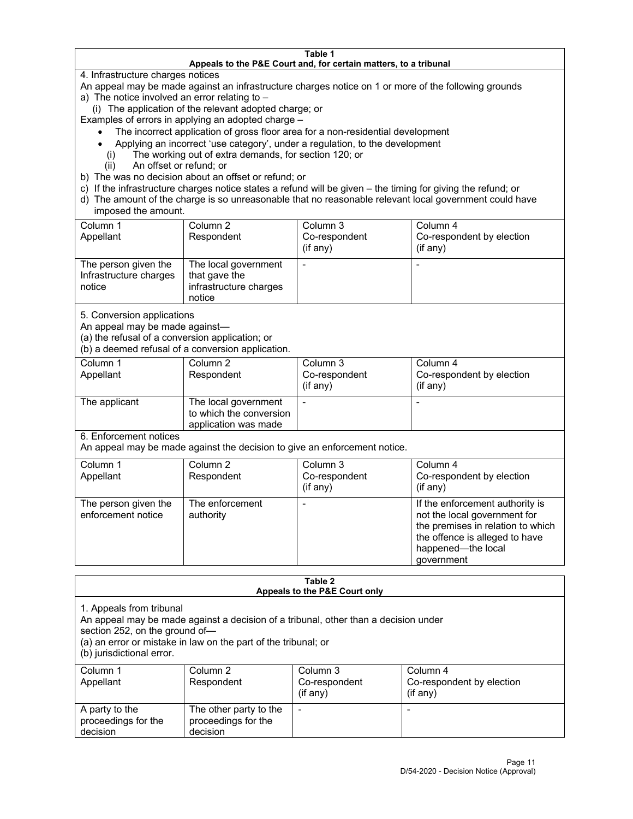#### **Table 1 Appeals to the P&E Court and, for certain matters, to a tribunal**

4. Infrastructure charges notices

An appeal may be made against an infrastructure charges notice on 1 or more of the following grounds

- a) The notice involved an error relating to
	- (i) The application of the relevant adopted charge; or

Examples of errors in applying an adopted charge –

- The incorrect application of gross floor area for a non-residential development
- Applying an incorrect 'use category', under a regulation, to the development
- (i) The working out of extra demands, for section 120; or
- (ii) An offset or refund; or
- b) The was no decision about an offset or refund; or
- c) If the infrastructure charges notice states a refund will be given the timing for giving the refund; or
- d) The amount of the charge is so unreasonable that no reasonable relevant local government could have imposed the amount.

| Column 1<br>Appellant                                    | Column 2<br>Respondent                                                    | Column 3<br>Co-respondent<br>(i f any) | Column 4<br>Co-respondent by election<br>(if any) |
|----------------------------------------------------------|---------------------------------------------------------------------------|----------------------------------------|---------------------------------------------------|
| The person given the<br>Infrastructure charges<br>notice | The local government<br>that gave the<br>infrastructure charges<br>notice |                                        |                                                   |

5. Conversion applications

An appeal may be made against—

(a) the refusal of a conversion application; or

(b) a deemed refusal of a conversion application.

| Column 1      | Column 2                | Column 3       | Column 4                  |
|---------------|-------------------------|----------------|---------------------------|
| Appellant     | Respondent              | Co-respondent  | Co-respondent by election |
|               |                         | $($ if any $)$ | (i f any)                 |
|               |                         |                |                           |
| The applicant | The local government    |                |                           |
|               | to which the conversion |                |                           |
|               | application was made    |                |                           |

6. Enforcement notices

An appeal may be made against the decision to give an enforcement notice.

| Column 1<br>Appellant                      | Column 2<br>Respondent       | Column 3<br>Co-respondent<br>(if any) | Column 4<br>Co-respondent by election<br>(i f any)                                                                                                                         |
|--------------------------------------------|------------------------------|---------------------------------------|----------------------------------------------------------------------------------------------------------------------------------------------------------------------------|
| The person given the<br>enforcement notice | The enforcement<br>authority |                                       | If the enforcement authority is<br>not the local government for<br>the premises in relation to which<br>the offence is alleged to have<br>happened-the local<br>government |

#### **Table 2 Appeals to the P&E Court only**

1. Appeals from tribunal

An appeal may be made against a decision of a tribunal, other than a decision under

section 252, on the ground of—

(a) an error or mistake in law on the part of the tribunal; or

(b) jurisdictional error.

| Column 1<br>Appellant                             | Column 2<br>Respondent                                    | Column 3<br>Co-respondent<br>$(if$ any) | Column 4<br>Co-respondent by election<br>$(if$ any) |
|---------------------------------------------------|-----------------------------------------------------------|-----------------------------------------|-----------------------------------------------------|
| A party to the<br>proceedings for the<br>decision | The other party to the<br>proceedings for the<br>decision | $\overline{\phantom{a}}$                |                                                     |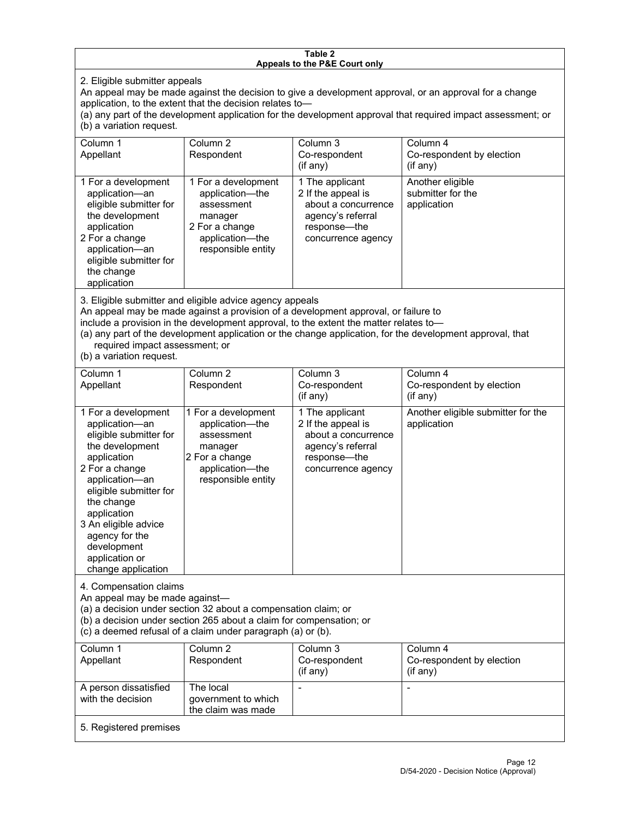#### **Table 2 Appeals to the P&E Court only**

2. Eligible submitter appeals

An appeal may be made against the decision to give a development approval, or an approval for a change application, to the extent that the decision relates to—

(a) any part of the development application for the development approval that required impact assessment; or (b) a variation request.

| Column 1<br>Appellant                                                                                                                                                                        | Column 2<br>Respondent                                                                                                     | Column 3<br>Co-respondent<br>(if any)                                                                                   | Column 4<br>Co-respondent by election<br>(if any)    |
|----------------------------------------------------------------------------------------------------------------------------------------------------------------------------------------------|----------------------------------------------------------------------------------------------------------------------------|-------------------------------------------------------------------------------------------------------------------------|------------------------------------------------------|
| 1 For a development<br>application-an<br>eligible submitter for<br>the development<br>application<br>2 For a change<br>application-an<br>eligible submitter for<br>the change<br>application | 1 For a development<br>application—the<br>assessment<br>manager<br>2 For a change<br>application-the<br>responsible entity | 1 The applicant<br>2 If the appeal is<br>about a concurrence<br>agency's referral<br>response—the<br>concurrence agency | Another eligible<br>submitter for the<br>application |

3. Eligible submitter and eligible advice agency appeals

An appeal may be made against a provision of a development approval, or failure to

include a provision in the development approval, to the extent the matter relates to—

(a) any part of the development application or the change application, for the development approval, that required impact assessment; or

(b) a variation request.

| Column 1<br>Appellant                                                                                                                                                                                                                                                                         | Column <sub>2</sub><br>Respondent                                                                                          | Column 3<br>Co-respondent<br>(if any)                                                                                   | Column 4<br>Co-respondent by election<br>(if any) |
|-----------------------------------------------------------------------------------------------------------------------------------------------------------------------------------------------------------------------------------------------------------------------------------------------|----------------------------------------------------------------------------------------------------------------------------|-------------------------------------------------------------------------------------------------------------------------|---------------------------------------------------|
| 1 For a development<br>application-an<br>eligible submitter for<br>the development<br>application<br>2 For a change<br>application-an<br>eligible submitter for<br>the change<br>application<br>3 An eligible advice<br>agency for the<br>development<br>application or<br>change application | 1 For a development<br>application-the<br>assessment<br>manager<br>2 For a change<br>application-the<br>responsible entity | 1 The applicant<br>2 If the appeal is<br>about a concurrence<br>agency's referral<br>response-the<br>concurrence agency | Another eligible submitter for the<br>application |
| 4. Compensation claims<br>An appeal may be made against-<br>(a) a decision under section 32 about a compensation claim; or<br>(b) a decision under section 265 about a claim for compensation; or<br>(c) a deemed refusal of a claim under paragraph (a) or (b).                              |                                                                                                                            |                                                                                                                         |                                                   |
| Column <sub>1</sub><br>Appellant                                                                                                                                                                                                                                                              | Column <sub>2</sub><br>Respondent                                                                                          | Column 3<br>Co-respondent<br>(if any)                                                                                   | Column 4<br>Co-respondent by election<br>(if any) |
| A person dissatisfied<br>with the decision                                                                                                                                                                                                                                                    | The local<br>government to which<br>the claim was made                                                                     |                                                                                                                         |                                                   |
| 5. Registered premises                                                                                                                                                                                                                                                                        |                                                                                                                            |                                                                                                                         |                                                   |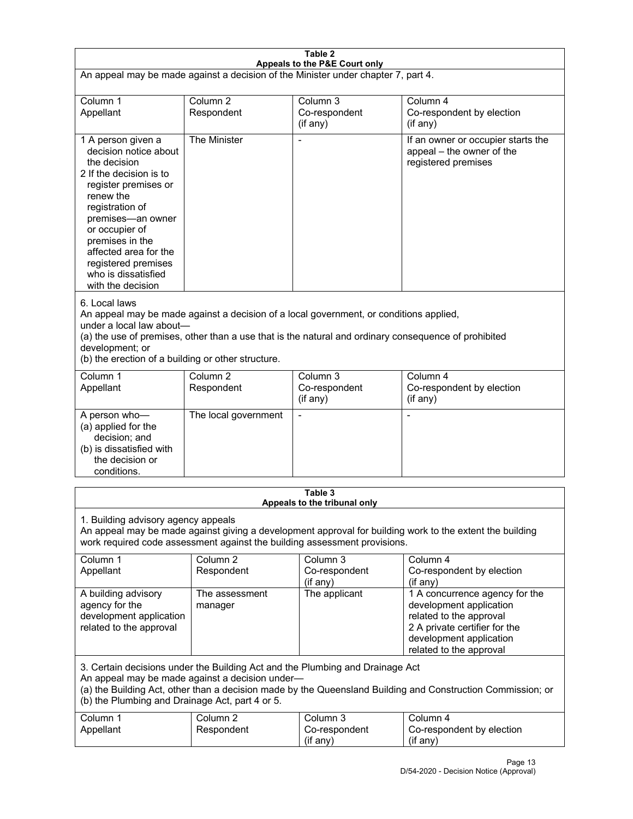| Table 2<br>Appeals to the P&E Court only                                                                                                                                                                                                                                                                             |                                   |                                                  |                                                                                                                                                                             |  |
|----------------------------------------------------------------------------------------------------------------------------------------------------------------------------------------------------------------------------------------------------------------------------------------------------------------------|-----------------------------------|--------------------------------------------------|-----------------------------------------------------------------------------------------------------------------------------------------------------------------------------|--|
| An appeal may be made against a decision of the Minister under chapter 7, part 4.                                                                                                                                                                                                                                    |                                   |                                                  |                                                                                                                                                                             |  |
| Column 1<br>Appellant                                                                                                                                                                                                                                                                                                | Column <sub>2</sub><br>Respondent | Column 3<br>Co-respondent<br>(if any)            | Column 4<br>Co-respondent by election<br>(if any)                                                                                                                           |  |
| 1 A person given a<br>decision notice about<br>the decision<br>2 If the decision is to<br>register premises or<br>renew the<br>registration of<br>premises-an owner<br>or occupier of<br>premises in the<br>affected area for the<br>registered premises<br>who is dissatisfied<br>with the decision                 | The Minister                      | Ĭ.                                               | If an owner or occupier starts the<br>appeal - the owner of the<br>registered premises                                                                                      |  |
| 6. Local laws<br>An appeal may be made against a decision of a local government, or conditions applied,<br>under a local law about-<br>(a) the use of premises, other than a use that is the natural and ordinary consequence of prohibited<br>development; or<br>(b) the erection of a building or other structure. |                                   |                                                  |                                                                                                                                                                             |  |
| Column 1<br>Appellant                                                                                                                                                                                                                                                                                                | Column <sub>2</sub><br>Respondent | Column <sub>3</sub><br>Co-respondent<br>(if any) | Column 4<br>Co-respondent by election<br>(if any)                                                                                                                           |  |
| A person who-<br>(a) applied for the<br>decision; and<br>(b) is dissatisfied with<br>the decision or<br>conditions.                                                                                                                                                                                                  | The local government              | L,                                               | $\overline{a}$                                                                                                                                                              |  |
|                                                                                                                                                                                                                                                                                                                      |                                   | Table 3<br>Appeals to the tribunal only          |                                                                                                                                                                             |  |
| 1. Building advisory agency appeals<br>An appeal may be made against giving a development approval for building work to the extent the building<br>work required code assessment against the building assessment provisions.                                                                                         |                                   |                                                  |                                                                                                                                                                             |  |
| Column 1<br>Appellant                                                                                                                                                                                                                                                                                                | Column <sub>2</sub><br>Respondent | Column 3<br>Co-respondent<br>(if any)            | Column 4<br>Co-respondent by election<br>(if any)                                                                                                                           |  |
| A building advisory<br>agency for the<br>development application<br>related to the approval                                                                                                                                                                                                                          | The assessment<br>manager         | The applicant                                    | 1 A concurrence agency for the<br>development application<br>related to the approval<br>2 A private certifier for the<br>development application<br>related to the approval |  |
| 3. Certain decisions under the Building Act and the Plumbing and Drainage Act<br>An appeal may be made against a decision under-<br>(a) the Building Act, other than a decision made by the Queensland Building and Construction Commission; or<br>(b) the Plumbing and Drainage Act, part 4 or 5.                   |                                   |                                                  |                                                                                                                                                                             |  |
| Column 1<br>Appellant                                                                                                                                                                                                                                                                                                | Column <sub>2</sub><br>Respondent | Column 3<br>Co-respondent<br>(if any)            | Column 4<br>Co-respondent by election<br>(if any)                                                                                                                           |  |